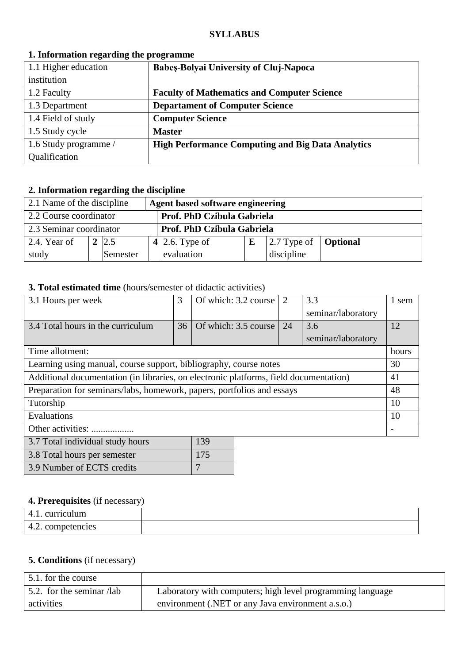### **SYLLABUS**

| 1.1 Higher education  | <b>Babes-Bolyai University of Cluj-Napoca</b>            |
|-----------------------|----------------------------------------------------------|
| institution           |                                                          |
| 1.2 Faculty           | <b>Faculty of Mathematics and Computer Science</b>       |
| 1.3 Department        | <b>Departament of Computer Science</b>                   |
| 1.4 Field of study    | <b>Computer Science</b>                                  |
| 1.5 Study cycle       | <b>Master</b>                                            |
| 1.6 Study programme / | <b>High Performance Computing and Big Data Analytics</b> |
| Qualification         |                                                          |

## **1. Information regarding the programme**

# **2. Information regarding the discipline**

| 2.1 Name of the discipline<br>Agent based software engineering |  |            |  |                |   |                                             |  |
|----------------------------------------------------------------|--|------------|--|----------------|---|---------------------------------------------|--|
| 2.2 Course coordinator<br>Prof. PhD Czibula Gabriela           |  |            |  |                |   |                                             |  |
| 2.3 Seminar coordinator<br>Prof. PhD Czibula Gabriela          |  |            |  |                |   |                                             |  |
| $\vert$ 2.4. Year of                                           |  | $2 \, 2.5$ |  | 4 2.6. Type of | E | $\vert$ 2.7 Type of $\vert$ <b>Optional</b> |  |
| study                                                          |  | Semester   |  | evaluation     |   | discipline                                  |  |

## **3. Total estimated time** (hours/semester of didactic activities)

| 3.1 Hours per week                                                                    | 3  | Of which: 3.2 course | $\overline{2}$ | 3.3                | 1 sem |
|---------------------------------------------------------------------------------------|----|----------------------|----------------|--------------------|-------|
|                                                                                       |    |                      |                | seminar/laboratory |       |
| 3.4 Total hours in the curriculum                                                     | 36 | Of which: 3.5 course | 24             | 3.6                | 12    |
|                                                                                       |    |                      |                | seminar/laboratory |       |
| Time allotment:                                                                       |    |                      |                |                    | hours |
| Learning using manual, course support, bibliography, course notes                     |    |                      |                |                    | 30    |
| Additional documentation (in libraries, on electronic platforms, field documentation) |    |                      |                |                    | 41    |
| Preparation for seminars/labs, homework, papers, portfolios and essays                |    |                      |                |                    | 48    |
| Tutorship                                                                             |    |                      |                |                    | 10    |
| Evaluations                                                                           |    |                      |                |                    | 10    |
| Other activities:                                                                     |    |                      |                |                    |       |
| 139<br>3.7 Total individual study hours                                               |    |                      |                |                    |       |

| 3.7 Total individual study hours | 1.59 |
|----------------------------------|------|
| 3.8 Total hours per semester     | 175  |
| 3.9 Number of ECTS credits       |      |

## **4. Prerequisites** (if necessary)

| -<br>. .           |  |
|--------------------|--|
| curriculum<br>4.1. |  |
| 4.2. competencies  |  |

# **5. Conditions** (if necessary)

| 5.1. for the course               |                                                            |
|-----------------------------------|------------------------------------------------------------|
| $\vert$ 5.2. for the seminar /lab | Laboratory with computers; high level programming language |
| activities                        | environment (.NET or any Java environment a.s.o.)          |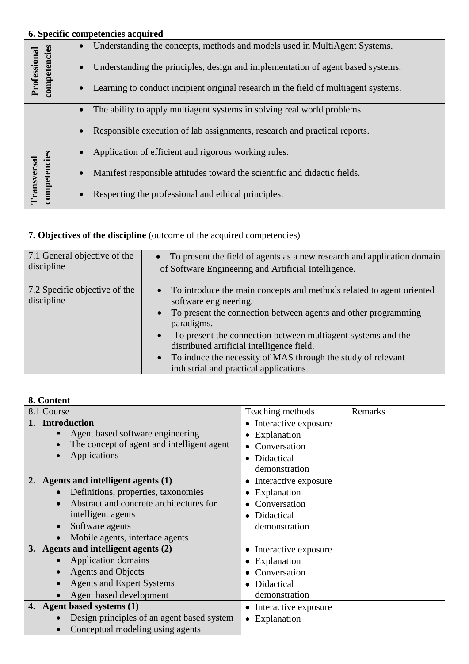|                              |           | 6. Specific competencies acquired                                                   |
|------------------------------|-----------|-------------------------------------------------------------------------------------|
|                              |           | Understanding the concepts, methods and models used in MultiAgent Systems.          |
| competencies<br>Professional | $\bullet$ | Understanding the principles, design and implementation of agent based systems.     |
|                              | $\bullet$ | Learning to conduct incipient original research in the field of multiagent systems. |
|                              | $\bullet$ | The ability to apply multiagent systems in solving real world problems.             |
|                              |           | Responsible execution of lab assignments, research and practical reports.           |
|                              |           | Application of efficient and rigorous working rules.                                |
|                              | $\bullet$ | Manifest responsible attitudes toward the scientific and didactic fields.           |
| competencies<br>Transversal  |           | Respecting the professional and ethical principles.                                 |

# **7. Objectives of the discipline** (outcome of the acquired competencies)

| 7.1 General objective of the<br>discipline  | • To present the field of agents as a new research and application domain<br>of Software Engineering and Artificial Intelligence.                                                                                                                                                                                                                                                                                                 |
|---------------------------------------------|-----------------------------------------------------------------------------------------------------------------------------------------------------------------------------------------------------------------------------------------------------------------------------------------------------------------------------------------------------------------------------------------------------------------------------------|
| 7.2 Specific objective of the<br>discipline | • To introduce the main concepts and methods related to agent oriented<br>software engineering.<br>To present the connection between agents and other programming<br>$\bullet$<br>paradigms.<br>To present the connection between multiagent systems and the<br>$\bullet$<br>distributed artificial intelligence field.<br>To induce the necessity of MAS through the study of relevant<br>industrial and practical applications. |

## **8. Content**

| 8.1 Course                                 | Teaching methods                  | Remarks |
|--------------------------------------------|-----------------------------------|---------|
| <b>Introduction</b>                        | Interactive exposure<br>٠         |         |
| Agent based software engineering           | Explanation                       |         |
| The concept of agent and intelligent agent | Conversation                      |         |
| Applications                               | Didactical<br>$\bullet$           |         |
|                                            | demonstration                     |         |
| 2. Agents and intelligent agents (1)       | Interactive exposure              |         |
| Definitions, properties, taxonomies        | Explanation                       |         |
| Abstract and concrete architectures for    | Conversation                      |         |
| intelligent agents                         | Didactical<br>$\bullet$           |         |
| Software agents                            | demonstration                     |         |
| Mobile agents, interface agents            |                                   |         |
| 3. Agents and intelligent agents (2)       | Interactive exposure<br>$\bullet$ |         |
| Application domains                        | Explanation                       |         |
| <b>Agents and Objects</b>                  | Conversation                      |         |
| <b>Agents and Expert Systems</b>           | Didactical                        |         |
| Agent based development                    | demonstration                     |         |
| 4. Agent based systems (1)                 | Interactive exposure<br>٠         |         |
| Design principles of an agent based system | Explanation<br>٠                  |         |
| Conceptual modeling using agents           |                                   |         |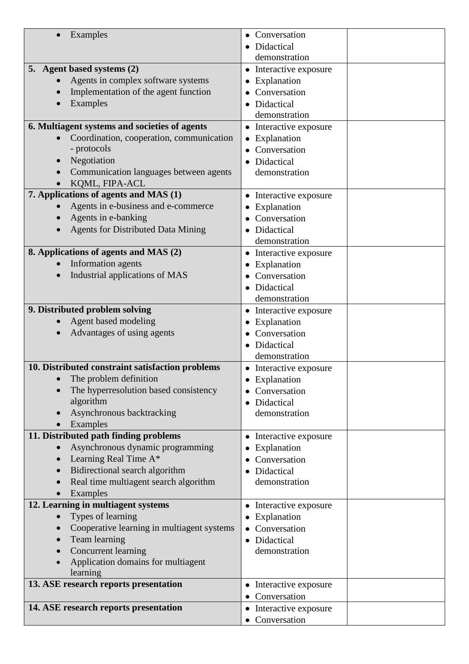| Examples                                                | Conversation                           |
|---------------------------------------------------------|----------------------------------------|
|                                                         | Didactical                             |
|                                                         | demonstration                          |
| 5. Agent based systems (2)                              | • Interactive exposure                 |
| Agents in complex software systems                      | Explanation                            |
| Implementation of the agent function                    | Conversation                           |
| Examples                                                | Didactical                             |
|                                                         | demonstration                          |
| 6. Multiagent systems and societies of agents           | Interactive exposure<br>٠              |
| Coordination, cooperation, communication<br>- protocols | Explanation                            |
| Negotiation                                             | Conversation                           |
| Communication languages between agents                  | Didactical<br>demonstration            |
| KQML, FIPA-ACL                                          |                                        |
| 7. Applications of agents and MAS (1)                   | Interactive exposure                   |
| Agents in e-business and e-commerce                     | Explanation                            |
| Agents in e-banking                                     | Conversation                           |
| <b>Agents for Distributed Data Mining</b>               | Didactical                             |
|                                                         | demonstration                          |
| 8. Applications of agents and MAS (2)                   | • Interactive exposure                 |
| Information agents                                      | Explanation                            |
| Industrial applications of MAS                          | Conversation                           |
|                                                         | Didactical                             |
|                                                         | demonstration                          |
| 9. Distributed problem solving                          | • Interactive exposure                 |
| Agent based modeling                                    | Explanation                            |
| Advantages of using agents                              | Conversation                           |
|                                                         | Didactical                             |
|                                                         | demonstration                          |
| 10. Distributed constraint satisfaction problems        | • Interactive exposure                 |
| The problem definition                                  | • Explanation                          |
| The hyperresolution based consistency<br>algorithm      | Conversation<br>Didactical             |
| Asynchronous backtracking                               | demonstration                          |
| Examples                                                |                                        |
| 11. Distributed path finding problems                   | Interactive exposure                   |
| Asynchronous dynamic programming<br>$\bullet$           | Explanation                            |
| Learning Real Time A*<br>$\bullet$                      | Conversation                           |
| Bidirectional search algorithm<br>$\bullet$             | Didactical                             |
| Real time multiagent search algorithm                   | demonstration                          |
| Examples                                                |                                        |
| 12. Learning in multiagent systems                      | Interactive exposure<br>٠              |
| Types of learning                                       | Explanation<br>$\bullet$               |
| Cooperative learning in multiagent systems              | Conversation                           |
| Team learning                                           | Didactical                             |
| Concurrent learning<br>$\bullet$                        | demonstration                          |
| Application domains for multiagent                      |                                        |
| learning                                                |                                        |
| 13. ASE research reports presentation                   | • Interactive exposure<br>Conversation |
| 14. ASE research reports presentation                   |                                        |
|                                                         | Interactive exposure<br>Conversation   |
|                                                         |                                        |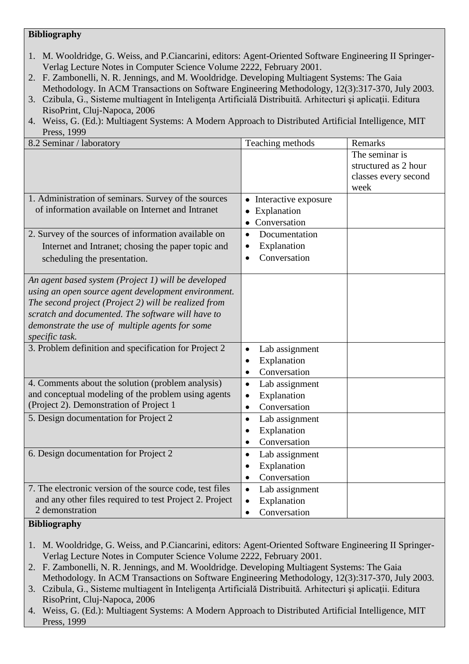### **Bibliography**

- 1. M. Wooldridge, G. Weiss, and P.Ciancarini, editors: Agent-Oriented Software Engineering II Springer-Verlag Lecture Notes in Computer Science Volume 2222, February 2001.
- 2. F. Zambonelli, N. R. Jennings, and M. Wooldridge. Developing Multiagent Systems: The Gaia Methodology. In ACM Transactions on Software Engineering Methodology, 12(3):317-370, July 2003.
- 3. Czibula, G., Sisteme multiagent în Inteligența Artificială Distribuită. Arhitecturi și aplicații. Editura RisoPrint, Cluj-Napoca, 2006
- 4. Weiss, G. (Ed.): Multiagent Systems: A Modern Approach to Distributed Artificial Intelligence, MIT Press, 1999

| 8.2 Seminar / laboratory                                 | Teaching methods                  | Remarks              |
|----------------------------------------------------------|-----------------------------------|----------------------|
|                                                          |                                   | The seminar is       |
|                                                          |                                   | structured as 2 hour |
|                                                          |                                   | classes every second |
|                                                          |                                   | week                 |
| 1. Administration of seminars. Survey of the sources     | Interactive exposure<br>$\bullet$ |                      |
| of information available on Internet and Intranet        | Explanation                       |                      |
|                                                          | Conversation                      |                      |
| 2. Survey of the sources of information available on     | Documentation<br>$\bullet$        |                      |
| Internet and Intranet; chosing the paper topic and       | Explanation<br>$\bullet$          |                      |
| scheduling the presentation.                             | Conversation                      |                      |
|                                                          |                                   |                      |
| An agent based system (Project 1) will be developed      |                                   |                      |
| using an open source agent development environment.      |                                   |                      |
| The second project (Project 2) will be realized from     |                                   |                      |
| scratch and documented. The software will have to        |                                   |                      |
| demonstrate the use of multiple agents for some          |                                   |                      |
| specific task.                                           |                                   |                      |
| 3. Problem definition and specification for Project 2    | Lab assignment<br>$\bullet$       |                      |
|                                                          | Explanation<br>$\bullet$          |                      |
|                                                          | Conversation                      |                      |
| 4. Comments about the solution (problem analysis)        | Lab assignment<br>$\bullet$       |                      |
| and conceptual modeling of the problem using agents      | Explanation<br>$\bullet$          |                      |
| (Project 2). Demonstration of Project 1                  | Conversation<br>$\bullet$         |                      |
| 5. Design documentation for Project 2                    | Lab assignment<br>$\bullet$       |                      |
|                                                          | Explanation<br>$\bullet$          |                      |
|                                                          | Conversation<br>$\bullet$         |                      |
| 6. Design documentation for Project 2                    | Lab assignment<br>$\bullet$       |                      |
|                                                          | Explanation<br>$\bullet$          |                      |
|                                                          | Conversation<br>$\bullet$         |                      |
| 7. The electronic version of the source code, test files | Lab assignment<br>$\bullet$       |                      |
| and any other files required to test Project 2. Project  | Explanation                       |                      |
| 2 demonstration                                          | Conversation<br>$\bullet$         |                      |

### **Bibliography**

- 1. M. Wooldridge, G. Weiss, and P.Ciancarini, editors: Agent-Oriented Software Engineering II Springer-Verlag Lecture Notes in Computer Science Volume 2222, February 2001.
- 2. F. Zambonelli, N. R. Jennings, and M. Wooldridge. Developing Multiagent Systems: The Gaia Methodology. In ACM Transactions on Software Engineering Methodology, 12(3):317-370, July 2003.
- 3. Czibula, G., Sisteme multiagent în Inteligenţa Artificială Distribuită. Arhitecturi şi aplicaţii. Editura RisoPrint, Cluj-Napoca, 2006
- 4. Weiss, G. (Ed.): Multiagent Systems: A Modern Approach to Distributed Artificial Intelligence, MIT Press, 1999